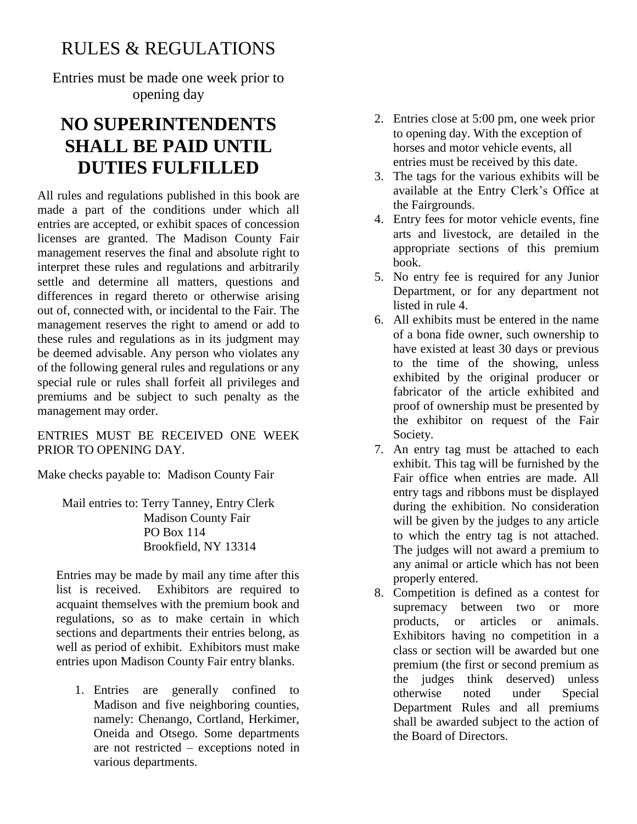## RULES & REGULATIONS

Entries must be made one week prior to opening day

# **NO SUPERINTENDENTS SHALL BE PAID UNTIL DUTIES FULFILLED**

All rules and regulations published in this book are made a part of the conditions under which all entries are accepted, or exhibit spaces of concession licenses are granted. The Madison County Fair management reserves the final and absolute right to interpret these rules and regulations and arbitrarily settle and determine all matters, questions and differences in regard thereto or otherwise arising out of, connected with, or incidental to the Fair. The management reserves the right to amend or add to these rules and regulations as in its judgment may be deemed advisable. Any person who violates any of the following general rules and regulations or any special rule or rules shall forfeit all privileges and premiums and be subject to such penalty as the management may order.

ENTRIES MUST BE RECEIVED ONE WEEK PRIOR TO OPENING DAY.

Make checks payable to: Madison County Fair

Mail entries to: Terry Tanney, Entry Clerk Madison County Fair PO Box 114 Brookfield, NY 13314

Entries may be made by mail any time after this list is received. Exhibitors are required to acquaint themselves with the premium book and regulations, so as to make certain in which sections and departments their entries belong, as well as period of exhibit. Exhibitors must make entries upon Madison County Fair entry blanks.

1. Entries are generally confined to Madison and five neighboring counties, namely: Chenango, Cortland, Herkimer, Oneida and Otsego. Some departments are not restricted – exceptions noted in various departments.

- 2. Entries close at 5:00 pm, one week prior to opening day. With the exception of horses and motor vehicle events, all entries must be received by this date.
- 3. The tags for the various exhibits will be available at the Entry Clerk's Office at the Fairgrounds.
- 4. Entry fees for motor vehicle events, fine arts and livestock, are detailed in the appropriate sections of this premium book.
- 5. No entry fee is required for any Junior Department, or for any department not listed in rule 4.
- 6. All exhibits must be entered in the name of a bona fide owner, such ownership to have existed at least 30 days or previous to the time of the showing, unless exhibited by the original producer or fabricator of the article exhibited and proof of ownership must be presented by the exhibitor on request of the Fair Society.
- 7. An entry tag must be attached to each exhibit. This tag will be furnished by the Fair office when entries are made. All entry tags and ribbons must be displayed during the exhibition. No consideration will be given by the judges to any article to which the entry tag is not attached. The judges will not award a premium to any animal or article which has not been properly entered.
- 8. Competition is defined as a contest for supremacy between two or more products, or articles or animals. Exhibitors having no competition in a class or section will be awarded but one premium (the first or second premium as the judges think deserved) unless otherwise noted under Special Department Rules and all premiums shall be awarded subject to the action of the Board of Directors.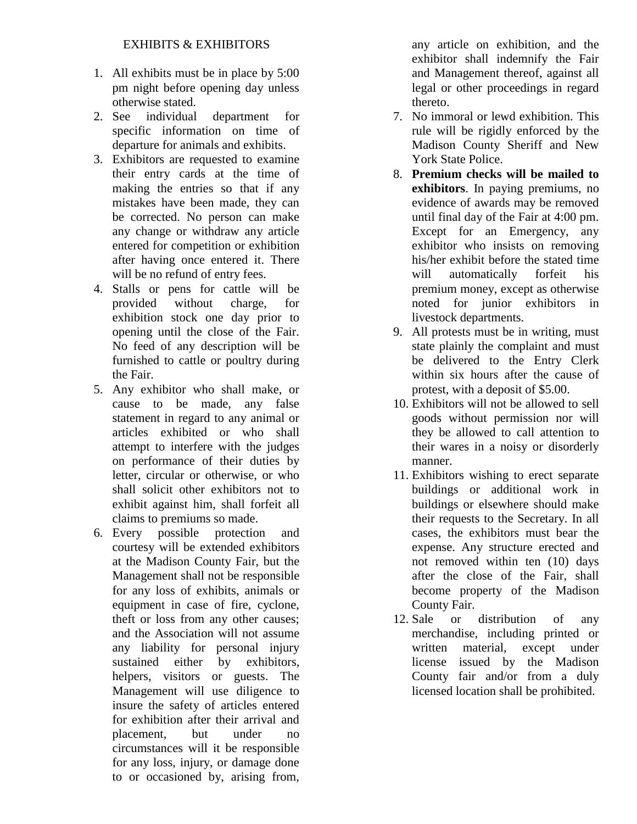- 1. All exhibits must be in place by 5:00 pm night before opening day unless otherwise stated.
- 2. See individual department for specific information on time of departure for animals and exhibits.
- 3. Exhibitors are requested to examine their entry cards at the time of making the entries so that if any mistakes have been made, they can be corrected. No person can make any change or withdraw any article entered for competition or exhibition after having once entered it. There will be no refund of entry fees.
- 4. Stalls or pens for cattle will be provided without charge, for exhibition stock one day prior to opening until the close of the Fair. No feed of any description will be furnished to cattle or poultry during the Fair.
- 5. Any exhibitor who shall make, or cause to be made, any false statement in regard to any animal or articles exhibited or who shall attempt to interfere with the judges on performance of their duties by letter, circular or otherwise, or who shall solicit other exhibitors not to exhibit against him, shall forfeit all claims to premiums so made.
- 6. Every possible protection and courtesy will be extended exhibitors at the Madison County Fair, but the Management shall not be responsible for any loss of exhibits, animals or equipment in case of fire, cyclone, theft or loss from any other causes; and the Association will not assume any liability for personal injury sustained either by exhibitors, helpers, visitors or guests. The Management will use diligence to insure the safety of articles entered for exhibition after their arrival and placement, but under no circumstances will it be responsible for any loss, injury, or damage done to or occasioned by, arising from,

any article on exhibition, and the exhibitor shall indemnify the Fair and Management thereof, against all legal or other proceedings in regard thereto.

- 7. No immoral or lewd exhibition. This rule will be rigidly enforced by the Madison County Sheriff and New York State Police.
- 8. **Premium checks will be mailed to exhibitors**. In paying premiums, no evidence of awards may be removed until final day of the Fair at 4:00 pm. Except for an Emergency, any exhibitor who insists on removing his/her exhibit before the stated time will automatically forfeit his premium money, except as otherwise noted for junior exhibitors in livestock departments.
- 9. All protests must be in writing, must state plainly the complaint and must be delivered to the Entry Clerk within six hours after the cause of protest, with a deposit of \$5.00.
- 10. Exhibitors will not be allowed to sell goods without permission nor will they be allowed to call attention to their wares in a noisy or disorderly manner.
- 11. Exhibitors wishing to erect separate buildings or additional work in buildings or elsewhere should make their requests to the Secretary. In all cases, the exhibitors must bear the expense. Any structure erected and not removed within ten (10) days after the close of the Fair, shall become property of the Madison County Fair.
- 12. Sale or distribution of any merchandise, including printed or written material, except under license issued by the Madison County fair and/or from a duly licensed location shall be prohibited.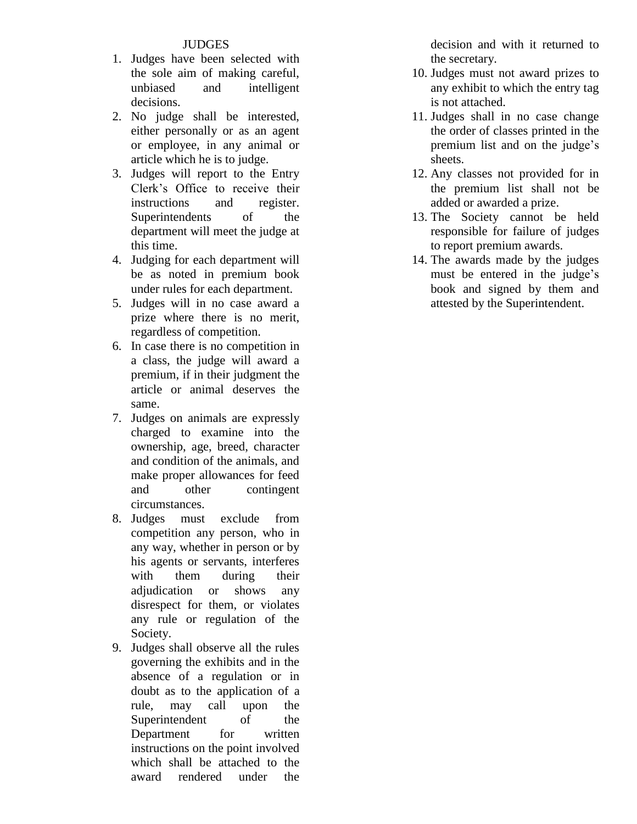#### **JUDGES**

- 1. Judges have been selected with the sole aim of making careful, unbiased and intelligent decisions.
- 2. No judge shall be interested, either personally or as an agent or employee, in any animal or article which he is to judge.
- 3. Judges will report to the Entry Clerk's Office to receive their instructions and register. Superintendents of the department will meet the judge at this time.
- 4. Judging for each department will be as noted in premium book under rules for each department.
- 5. Judges will in no case award a prize where there is no merit, regardless of competition.
- 6. In case there is no competition in a class, the judge will award a premium, if in their judgment the article or animal deserves the same.
- 7. Judges on animals are expressly charged to examine into the ownership, age, breed, character and condition of the animals, and make proper allowances for feed and other contingent circumstances.
- 8. Judges must exclude from competition any person, who in any way, whether in person or by his agents or servants, interferes with them during their adjudication or shows any disrespect for them, or violates any rule or regulation of the Society.
- 9. Judges shall observe all the rules governing the exhibits and in the absence of a regulation or in doubt as to the application of a rule, may call upon the Superintendent of the Department for written instructions on the point involved which shall be attached to the award rendered under the

decision and with it returned to the secretary.

- 10. Judges must not award prizes to any exhibit to which the entry tag is not attached.
- 11. Judges shall in no case change the order of classes printed in the premium list and on the judge's sheets.
- 12. Any classes not provided for in the premium list shall not be added or awarded a prize.
- 13. The Society cannot be held responsible for failure of judges to report premium awards.
- 14. The awards made by the judges must be entered in the judge's book and signed by them and attested by the Superintendent.